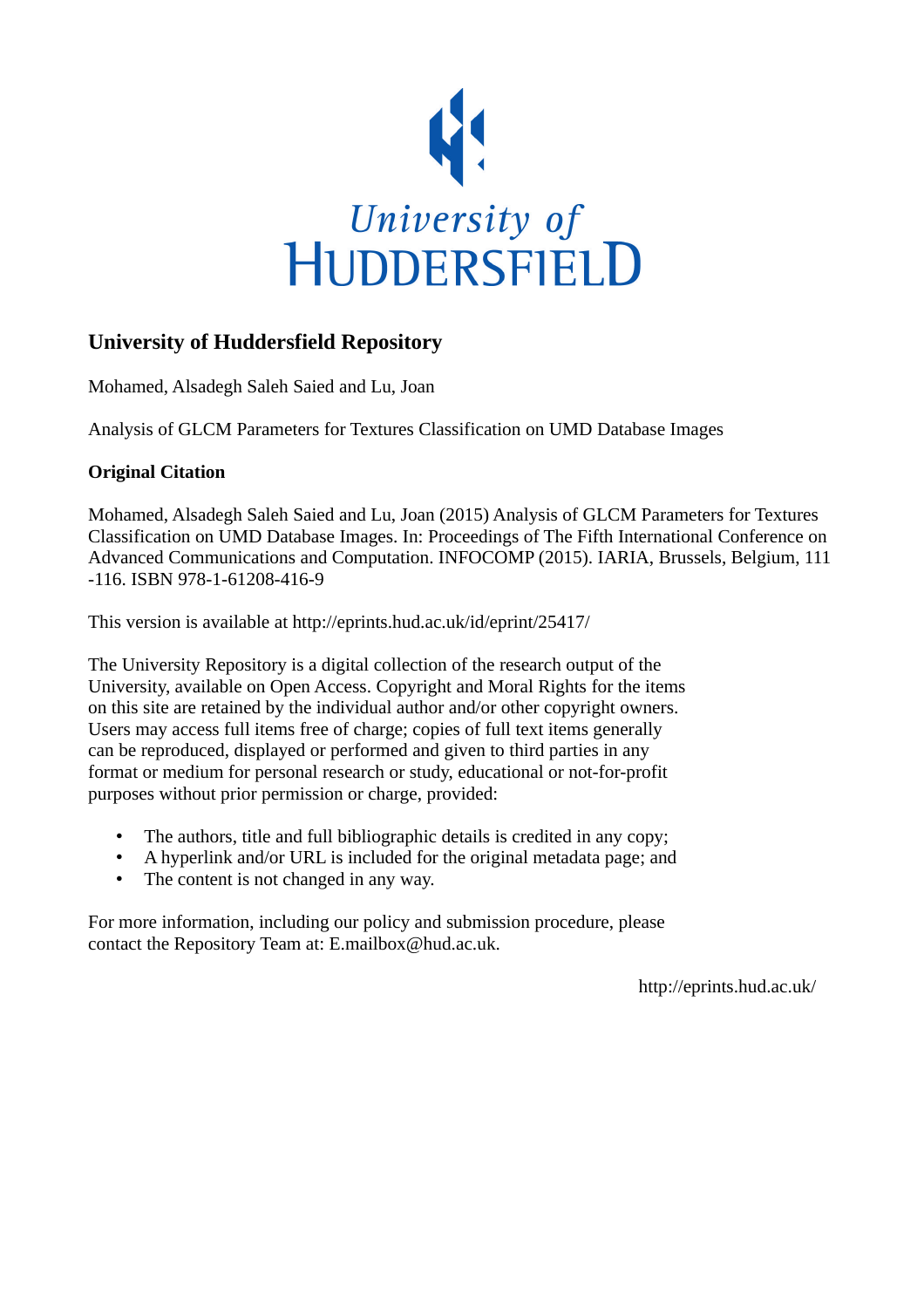

# **University of Huddersfield Repository**

Mohamed, Alsadegh Saleh Saied and Lu, Joan

Analysis of GLCM Parameters for Textures Classification on UMD Database Images

## **Original Citation**

Mohamed, Alsadegh Saleh Saied and Lu, Joan (2015) Analysis of GLCM Parameters for Textures Classification on UMD Database Images. In: Proceedings of The Fifth International Conference on Advanced Communications and Computation. INFOCOMP (2015). IARIA, Brussels, Belgium, 111 -116. ISBN 978-1-61208-416-9

This version is available at http://eprints.hud.ac.uk/id/eprint/25417/

The University Repository is a digital collection of the research output of the University, available on Open Access. Copyright and Moral Rights for the items on this site are retained by the individual author and/or other copyright owners. Users may access full items free of charge; copies of full text items generally can be reproduced, displayed or performed and given to third parties in any format or medium for personal research or study, educational or not-for-profit purposes without prior permission or charge, provided:

- The authors, title and full bibliographic details is credited in any copy;
- A hyperlink and/or URL is included for the original metadata page; and
- The content is not changed in any way.

For more information, including our policy and submission procedure, please contact the Repository Team at: E.mailbox@hud.ac.uk.

http://eprints.hud.ac.uk/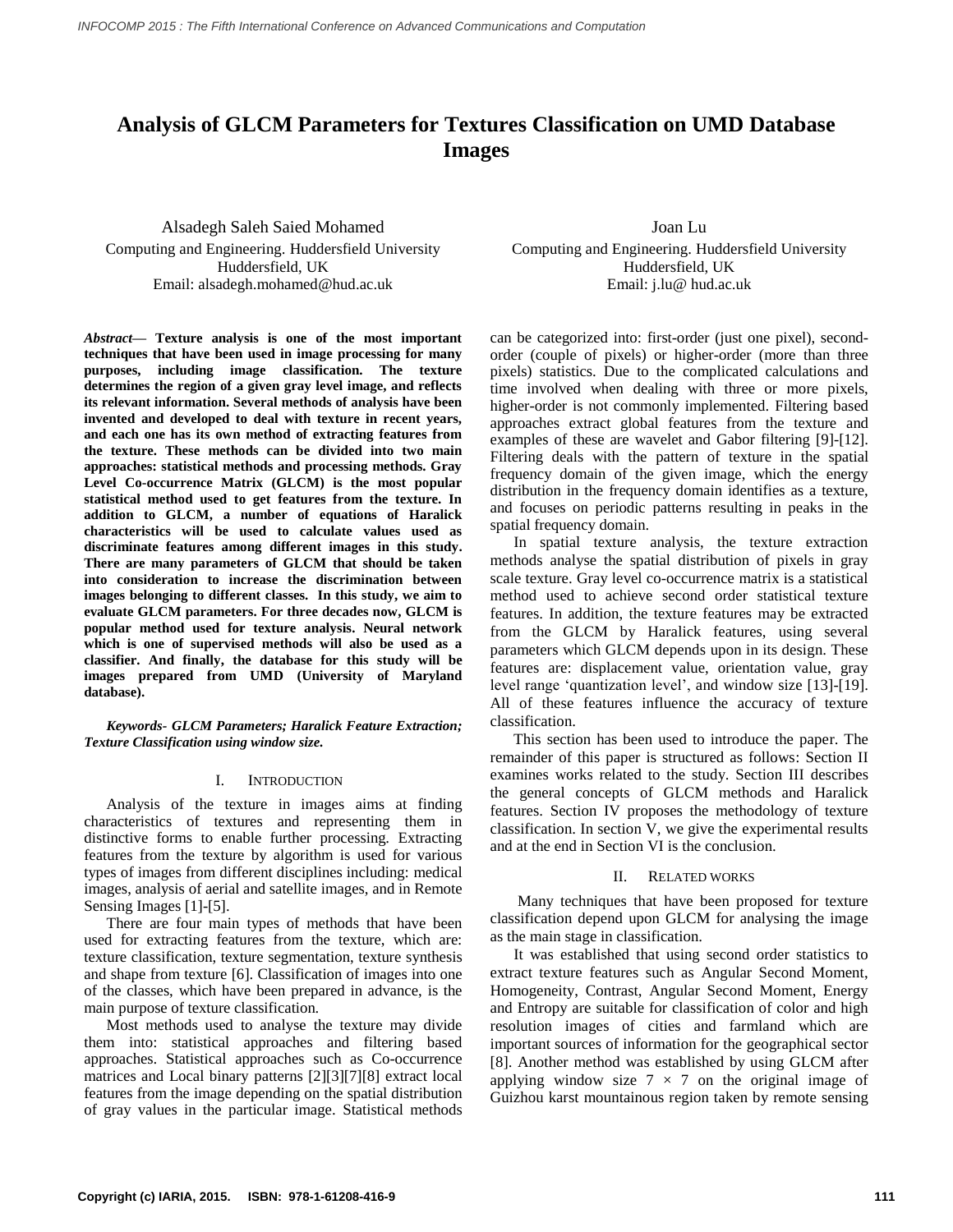## **Analysis of GLCM Parameters for Textures Classification on UMD Database Images**

Alsadegh Saleh Saied Mohamed Computing and Engineering. Huddersfield University Huddersfield, UK Email: alsadegh.mohamed@hud.ac.uk

*Abstract***— Texture analysis is one of the most important techniques that have been used in image processing for many purposes, including image classification. The texture determines the region of a given gray level image, and reflects its relevant information. Several methods of analysis have been invented and developed to deal with texture in recent years, and each one has its own method of extracting features from the texture. These methods can be divided into two main approaches: statistical methods and processing methods. Gray Level Co-occurrence Matrix (GLCM) is the most popular statistical method used to get features from the texture. In addition to GLCM, a number of equations of Haralick characteristics will be used to calculate values used as discriminate features among different images in this study. There are many parameters of GLCM that should be taken into consideration to increase the discrimination between images belonging to different classes. In this study, we aim to evaluate GLCM parameters. For three decades now, GLCM is popular method used for texture analysis. Neural network which is one of supervised methods will also be used as a classifier. And finally, the database for this study will be images prepared from UMD (University of Maryland database).**

*Keywords- GLCM Parameters; Haralick Feature Extraction; Texture Classification using window size.*

## I. INTRODUCTION

Analysis of the texture in images aims at finding characteristics of textures and representing them in distinctive forms to enable further processing. Extracting features from the texture by algorithm is used for various types of images from different disciplines including: medical images, analysis of aerial and satellite images, and in Remote Sensing Images [1]-[5].

There are four main types of methods that have been used for extracting features from the texture, which are: texture classification, texture segmentation, texture synthesis and shape from texture [6]. Classification of images into one of the classes, which have been prepared in advance, is the main purpose of texture classification.

Most methods used to analyse the texture may divide them into: statistical approaches and filtering based approaches. Statistical approaches such as Co-occurrence matrices and Local binary patterns [2][3][7][8] extract local features from the image depending on the spatial distribution of gray values in the particular image. Statistical methods

Joan Lu Computing and Engineering. Huddersfield University Huddersfield, UK Email: j.lu@ hud.ac.uk

can be categorized into: first-order (just one pixel), secondorder (couple of pixels) or higher-order (more than three pixels) statistics. Due to the complicated calculations and time involved when dealing with three or more pixels, higher-order is not commonly implemented. Filtering based approaches extract global features from the texture and examples of these are wavelet and Gabor filtering [9]-[12]. Filtering deals with the pattern of texture in the spatial frequency domain of the given image, which the energy distribution in the frequency domain identifies as a texture, and focuses on periodic patterns resulting in peaks in the spatial frequency domain.

 In spatial texture analysis, the texture extraction methods analyse the spatial distribution of pixels in gray scale texture. Gray level co-occurrence matrix is a statistical method used to achieve second order statistical texture features. In addition, the texture features may be extracted from the GLCM by Haralick features, using several parameters which GLCM depends upon in its design. These features are: displacement value, orientation value, gray level range "quantization level", and window size [13]-[19]. All of these features influence the accuracy of texture classification.

 This section has been used to introduce the paper. The remainder of this paper is structured as follows: Section II examines works related to the study. Section III describes the general concepts of GLCM methods and Haralick features. Section IV proposes the methodology of texture classification. In section V, we give the experimental results and at the end in Section VI is the conclusion.

## II. RELATED WORKS

 Many techniques that have been proposed for texture classification depend upon GLCM for analysing the image as the main stage in classification.

 It was established that using second order statistics to extract texture features such as Angular Second Moment, Homogeneity, Contrast, Angular Second Moment, Energy and Entropy are suitable for classification of color and high resolution images of cities and farmland which are important sources of information for the geographical sector [8]. Another method was established by using GLCM after applying window size  $7 \times 7$  on the original image of Guizhou karst mountainous region taken by remote sensing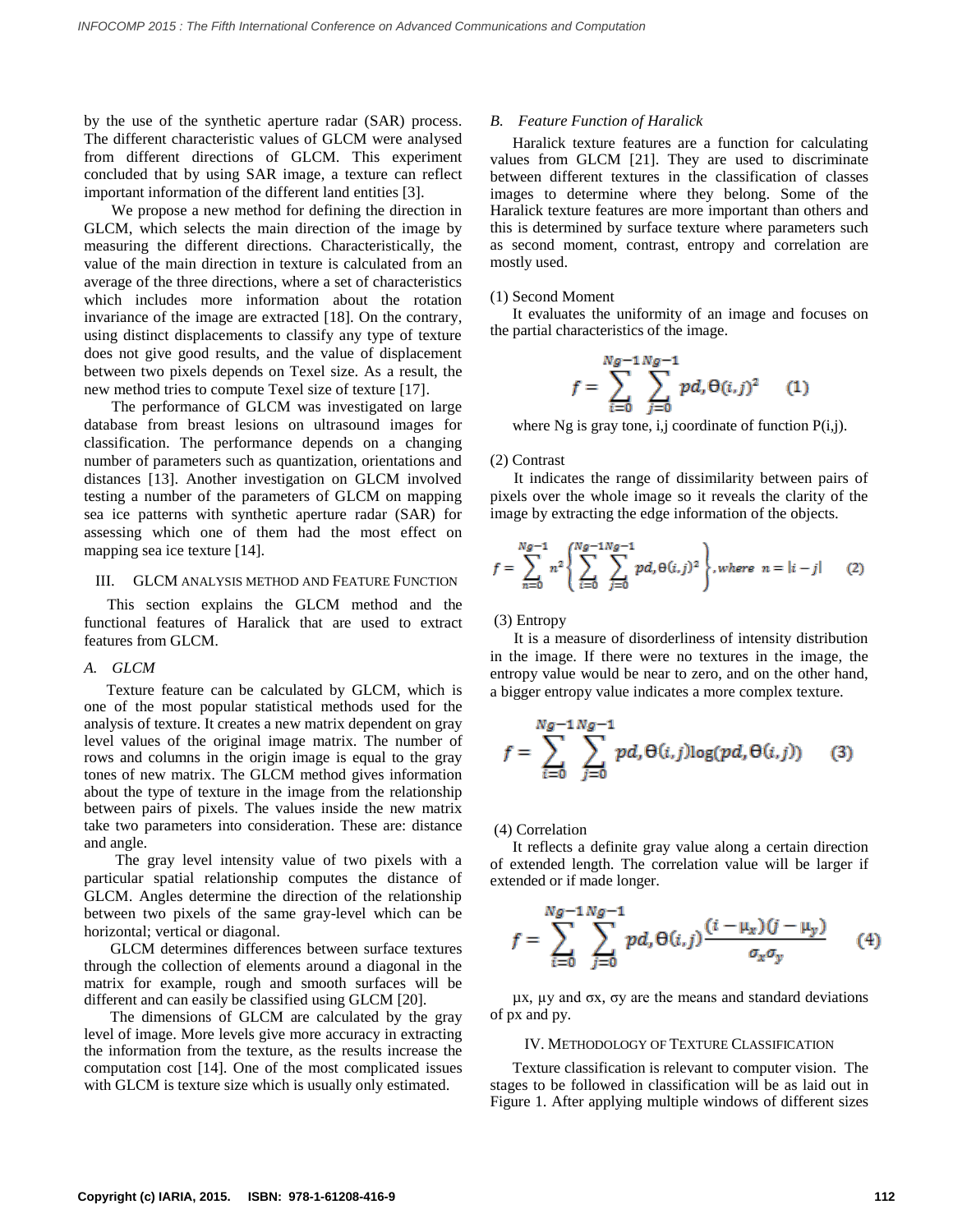by the use of the synthetic aperture radar (SAR) process. The different characteristic values of GLCM were analysed from different directions of GLCM. This experiment concluded that by using SAR image, a texture can reflect important information of the different land entities [3].

 We propose a new method for defining the direction in GLCM, which selects the main direction of the image by measuring the different directions. Characteristically, the value of the main direction in texture is calculated from an average of the three directions, where a set of characteristics which includes more information about the rotation invariance of the image are extracted [18]. On the contrary, using distinct displacements to classify any type of texture does not give good results, and the value of displacement between two pixels depends on Texel size. As a result, the new method tries to compute Texel size of texture [17].

 The performance of GLCM was investigated on large database from breast lesions on ultrasound images for classification. The performance depends on a changing number of parameters such as quantization, orientations and distances [13]. Another investigation on GLCM involved testing a number of the parameters of GLCM on mapping sea ice patterns with synthetic aperture radar (SAR) for assessing which one of them had the most effect on mapping sea ice texture [14].

#### III. GLCM ANALYSIS METHOD AND FEATURE FUNCTION

 This section explains the GLCM method and the functional features of Haralick that are used to extract features from GLCM.

## *A. GLCM*

Texture feature can be calculated by GLCM, which is one of the most popular statistical methods used for the analysis of texture. It creates a new matrix dependent on gray level values of the original image matrix. The number of rows and columns in the origin image is equal to the gray tones of new matrix. The GLCM method gives information about the type of texture in the image from the relationship between pairs of pixels. The values inside the new matrix take two parameters into consideration. These are: distance and angle.

 The gray level intensity value of two pixels with a particular spatial relationship computes the distance of GLCM. Angles determine the direction of the relationship between two pixels of the same gray-level which can be horizontal; vertical or diagonal.

GLCM determines differences between surface textures through the collection of elements around a diagonal in the matrix for example, rough and smooth surfaces will be different and can easily be classified using GLCM [20].

The dimensions of GLCM are calculated by the gray level of image. More levels give more accuracy in extracting the information from the texture, as the results increase the computation cost [14]. One of the most complicated issues with GLCM is texture size which is usually only estimated.

#### *B. Feature Function of Haralick*

Haralick texture features are a function for calculating values from GLCM [21]. They are used to discriminate between different textures in the classification of classes images to determine where they belong. Some of the Haralick texture features are more important than others and this is determined by surface texture where parameters such as second moment, contrast, entropy and correlation are mostly used.

#### (1) Second Moment

It evaluates the uniformity of an image and focuses on the partial characteristics of the image.

$$
f = \sum_{i=0}^{Ng-1} \sum_{j=0}^{Ng-1} pd \theta(i,j)^2 \qquad (1)
$$

where Ng is gray tone, i,j coordinate of function  $P(i,j)$ .

#### (2) Contrast

 It indicates the range of dissimilarity between pairs of pixels over the whole image so it reveals the clarity of the image by extracting the edge information of the objects.

$$
f = \sum_{n=0}^{Ng-1} n^2 \left\{ \sum_{i=0}^{Ng-1} \sum_{j=0}^{Ng-1} pd, \Theta(i,j)^2 \right\}, where n = |i - j|
$$
 (2)

#### (3) Entropy

 It is a measure of disorderliness of intensity distribution in the image. If there were no textures in the image, the entropy value would be near to zero, and on the other hand, a bigger entropy value indicates a more complex texture.

$$
f = \sum_{i=0}^{Ng-1} \sum_{j=0}^{Ng-1} pd, \Theta(i,j) \log(pd, \Theta(i,j)) \qquad (3)
$$

### (4) Correlation

It reflects a definite gray value along a certain direction of extended length. The correlation value will be larger if extended or if made longer.

$$
f = \sum_{i=0}^{Ng-1} \sum_{j=0}^{Ng-1} pd_{i} \Theta(i,j) \frac{(i - \mu_{x})(j - \mu_{y})}{\sigma_{x} \sigma_{y}}
$$
(4)

 $\mu$ x,  $\mu$ y and σx, σy are the means and standard deviations of px and py.

#### IV. METHODOLOGY OF TEXTURE CLASSIFICATION

Texture classification is relevant to computer vision. The stages to be followed in classification will be as laid out in Figure 1. After applying multiple windows of different sizes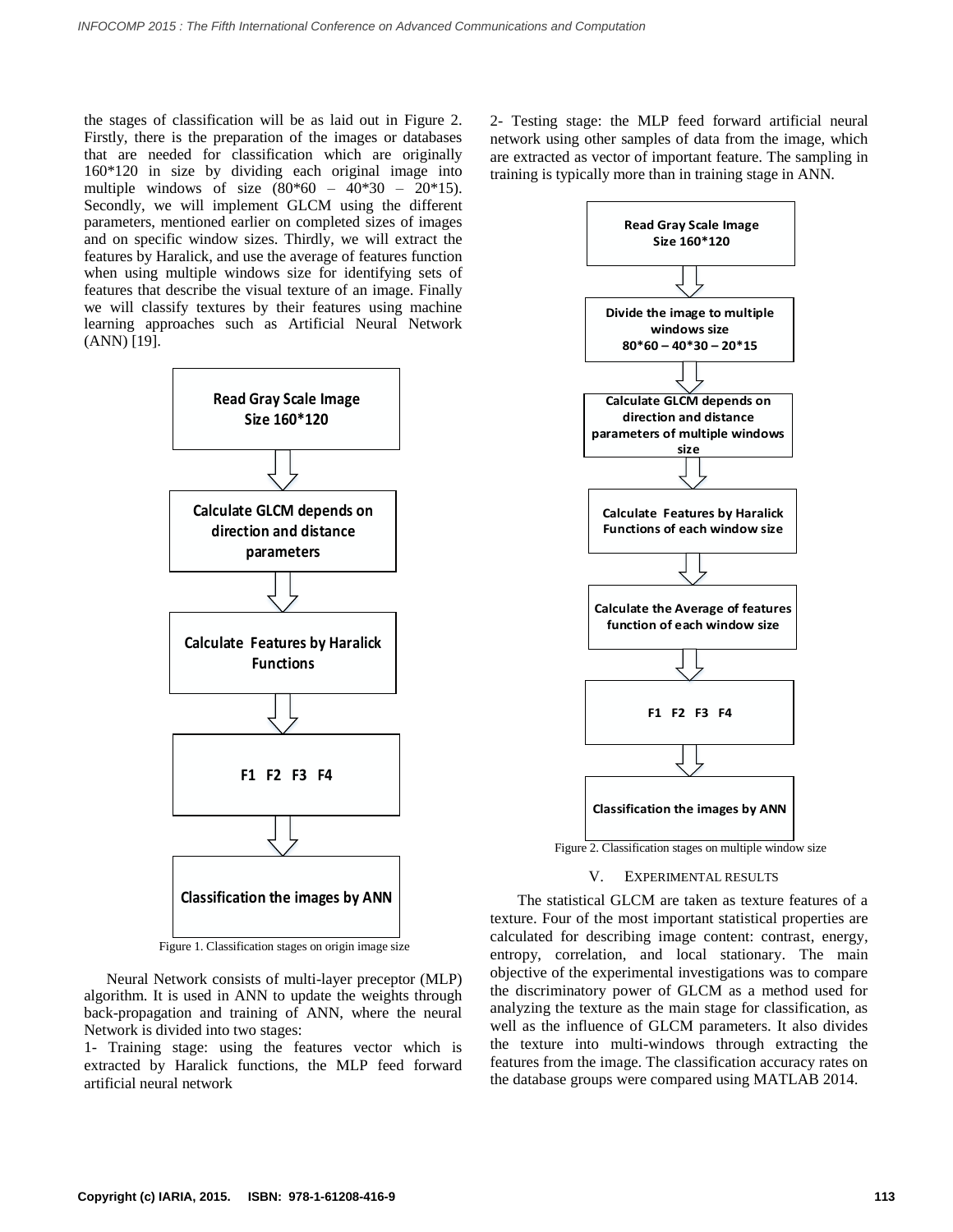the stages of classification will be as laid out in Figure 2. Firstly, there is the preparation of the images or databases that are needed for classification which are originally 160\*120 in size by dividing each original image into multiple windows of size  $(80*60 - 40*30 - 20*15)$ . Secondly, we will implement GLCM using the different parameters, mentioned earlier on completed sizes of images and on specific window sizes. Thirdly, we will extract the features by Haralick, and use the average of features function when using multiple windows size for identifying sets of features that describe the visual texture of an image. Finally we will classify textures by their features using machine learning approaches such as Artificial Neural Network (ANN) [19].



Figure 1. Classification stages on origin image size

Neural Network consists of multi-layer preceptor (MLP) algorithm. It is used in ANN to update the weights through back-propagation and training of ANN, where the neural Network is divided into two stages:

1- Training stage: using the features vector which is extracted by Haralick functions, the MLP feed forward artificial neural network

2- Testing stage: the MLP feed forward artificial neural network using other samples of data from the image, which are extracted as vector of important feature. The sampling in training is typically more than in training stage in ANN.



#### V. EXPERIMENTAL RESULTS

 The statistical GLCM are taken as texture features of a texture. Four of the most important statistical properties are calculated for describing image content: contrast, energy, entropy, correlation, and local stationary. The main objective of the experimental investigations was to compare the discriminatory power of GLCM as a method used for analyzing the texture as the main stage for classification, as well as the influence of GLCM parameters. It also divides the texture into multi-windows through extracting the features from the image. The classification accuracy rates on the database groups were compared using MATLAB 2014.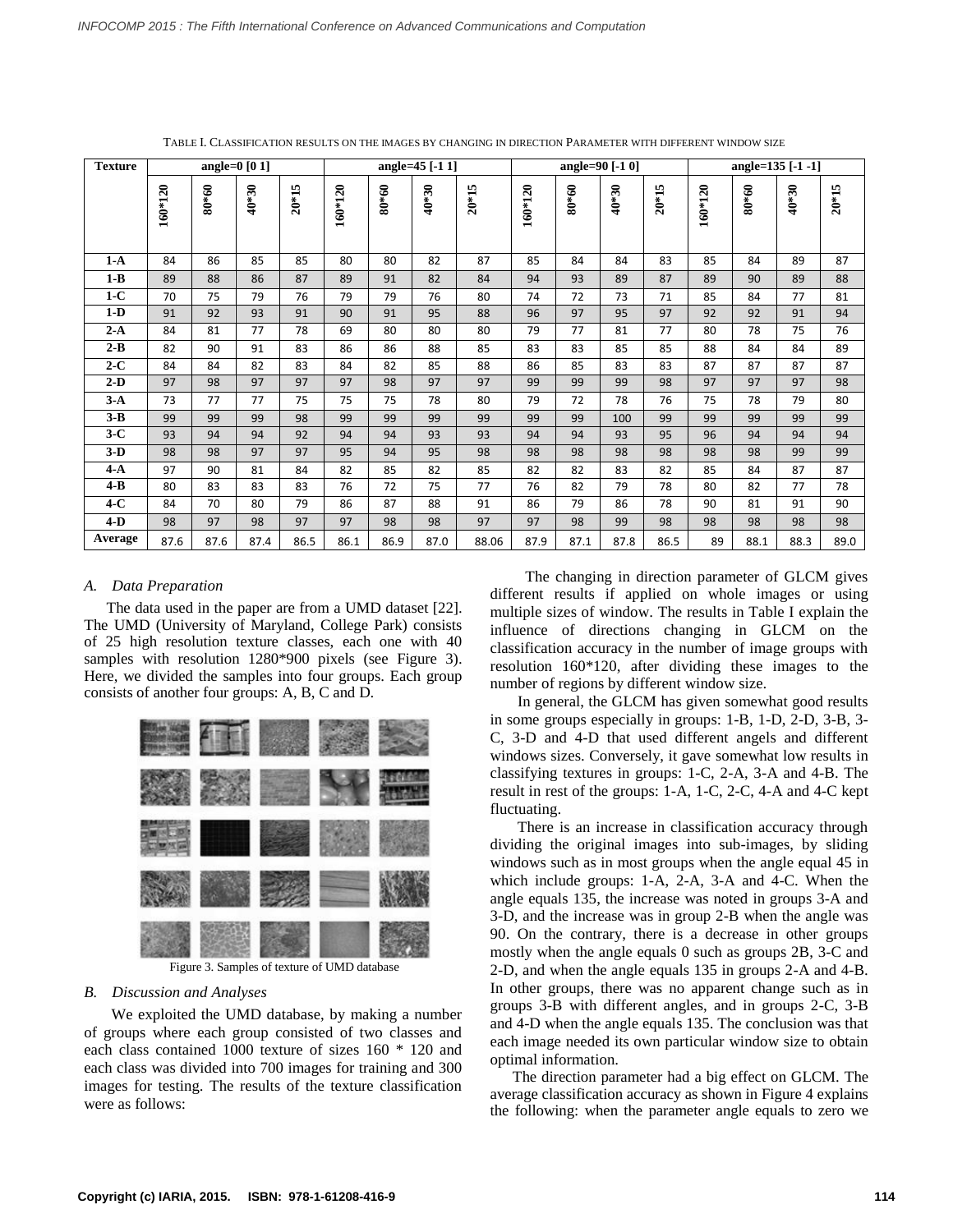| $\operatorname{\mathbf{Texture}}$ |           |         | angle= $0$ [0 1] |         | angle=45 [-1 1] |       |         |         | angle=90 [-1 0] |         |         |         | angle=135 [-1 -1] |       |         |         |
|-----------------------------------|-----------|---------|------------------|---------|-----------------|-------|---------|---------|-----------------|---------|---------|---------|-------------------|-------|---------|---------|
|                                   | $160*120$ | $80*60$ | $40*30$          | $20*15$ | $160*120$       | 80*60 | $40*30$ | $20*15$ | 160*120         | $80*60$ | $40*30$ | $20*15$ | $160*120$         | 80*60 | $40*30$ | $20*15$ |
| $1-A$                             | 84        | 86      | 85               | 85      | 80              | 80    | 82      | 87      | 85              | 84      | 84      | 83      | 85                | 84    | 89      | 87      |
| $1 - B$                           | 89        | 88      | 86               | 87      | 89              | 91    | 82      | 84      | 94              | 93      | 89      | 87      | 89                | 90    | 89      | 88      |
| $1-C$                             | 70        | 75      | 79               | 76      | 79              | 79    | 76      | 80      | 74              | 72      | 73      | 71      | 85                | 84    | 77      | 81      |
| $1-D$                             | 91        | 92      | 93               | 91      | 90              | 91    | 95      | 88      | 96              | 97      | 95      | 97      | 92                | 92    | 91      | 94      |
| $2-A$                             | 84        | 81      | 77               | 78      | 69              | 80    | 80      | 80      | 79              | 77      | 81      | 77      | 80                | 78    | 75      | 76      |
| $2-B$                             | 82        | 90      | 91               | 83      | 86              | 86    | 88      | 85      | 83              | 83      | 85      | 85      | 88                | 84    | 84      | 89      |
| $2-C$                             | 84        | 84      | 82               | 83      | 84              | 82    | 85      | 88      | 86              | 85      | 83      | 83      | 87                | 87    | 87      | 87      |
| $2-D$                             | 97        | 98      | 97               | 97      | 97              | 98    | 97      | 97      | 99              | 99      | 99      | 98      | 97                | 97    | 97      | 98      |
| $3-A$                             | 73        | 77      | 77               | 75      | 75              | 75    | 78      | 80      | 79              | 72      | 78      | 76      | 75                | 78    | 79      | 80      |
| $3 - B$                           | 99        | 99      | 99               | 98      | 99              | 99    | 99      | 99      | 99              | 99      | 100     | 99      | 99                | 99    | 99      | 99      |
| $3-C$                             | 93        | 94      | 94               | 92      | 94              | 94    | 93      | 93      | 94              | 94      | 93      | 95      | 96                | 94    | 94      | 94      |
| $3-D$                             | 98        | 98      | 97               | 97      | 95              | 94    | 95      | 98      | 98              | 98      | 98      | 98      | 98                | 98    | 99      | 99      |
| $4-A$                             | 97        | 90      | 81               | 84      | 82              | 85    | 82      | 85      | 82              | 82      | 83      | 82      | 85                | 84    | 87      | 87      |
| $4 - B$                           | 80        | 83      | 83               | 83      | 76              | 72    | 75      | 77      | 76              | 82      | 79      | 78      | 80                | 82    | 77      | 78      |
| $4-C$                             | 84        | 70      | 80               | 79      | 86              | 87    | 88      | 91      | 86              | 79      | 86      | 78      | 90                | 81    | 91      | 90      |
| $4-D$                             | 98        | 97      | 98               | 97      | 97              | 98    | 98      | 97      | 97              | 98      | 99      | 98      | 98                | 98    | 98      | 98      |
| Average                           | 87.6      | 87.6    | 87.4             | 86.5    | 86.1            | 86.9  | 87.0    | 88.06   | 87.9            | 87.1    | 87.8    | 86.5    | 89                | 88.1  | 88.3    | 89.0    |

TABLE I. CLASSIFICATION RESULTS ON THE IMAGES BY CHANGING IN DIRECTION PARAMETER WITH DIFFERENT WINDOW SIZE

#### *A. Data Preparation*

The data used in the paper are from a UMD dataset [22]. The UMD (University of Maryland, College Park) consists of 25 high resolution texture classes, each one with 40 samples with resolution 1280\*900 pixels (see Figure 3). Here, we divided the samples into four groups. Each group consists of another four groups: A, B, C and D.



Figure 3. Samples of texture of UMD database

### *B. Discussion and Analyses*

 We exploited the UMD database, by making a number of groups where each group consisted of two classes and each class contained 1000 texture of sizes 160 \* 120 and each class was divided into 700 images for training and 300 images for testing. The results of the texture classification were as follows:

 The changing in direction parameter of GLCM gives different results if applied on whole images or using multiple sizes of window. The results in Table I explain the influence of directions changing in GLCM on the classification accuracy in the number of image groups with resolution 160\*120, after dividing these images to the number of regions by different window size.

 In general, the GLCM has given somewhat good results in some groups especially in groups: 1-B, 1-D, 2-D, 3-B, 3- C, 3-D and 4-D that used different angels and different windows sizes. Conversely, it gave somewhat low results in classifying textures in groups: 1-C, 2-A, 3-A and 4-B. The result in rest of the groups: 1-A, 1-C, 2-C, 4-A and 4-C kept fluctuating.

 There is an increase in classification accuracy through dividing the original images into sub-images, by sliding windows such as in most groups when the angle equal 45 in which include groups: 1-A, 2-A, 3-A and 4-C. When the angle equals 135, the increase was noted in groups 3-A and 3-D, and the increase was in group 2-B when the angle was 90. On the contrary, there is a decrease in other groups mostly when the angle equals 0 such as groups 2B, 3-C and 2-D, and when the angle equals 135 in groups 2-A and 4-B. In other groups, there was no apparent change such as in groups 3-B with different angles, and in groups 2-C, 3-B and 4-D when the angle equals 135. The conclusion was that each image needed its own particular window size to obtain optimal information.

The direction parameter had a big effect on GLCM. The average classification accuracy as shown in Figure 4 explains the following: when the parameter angle equals to zero we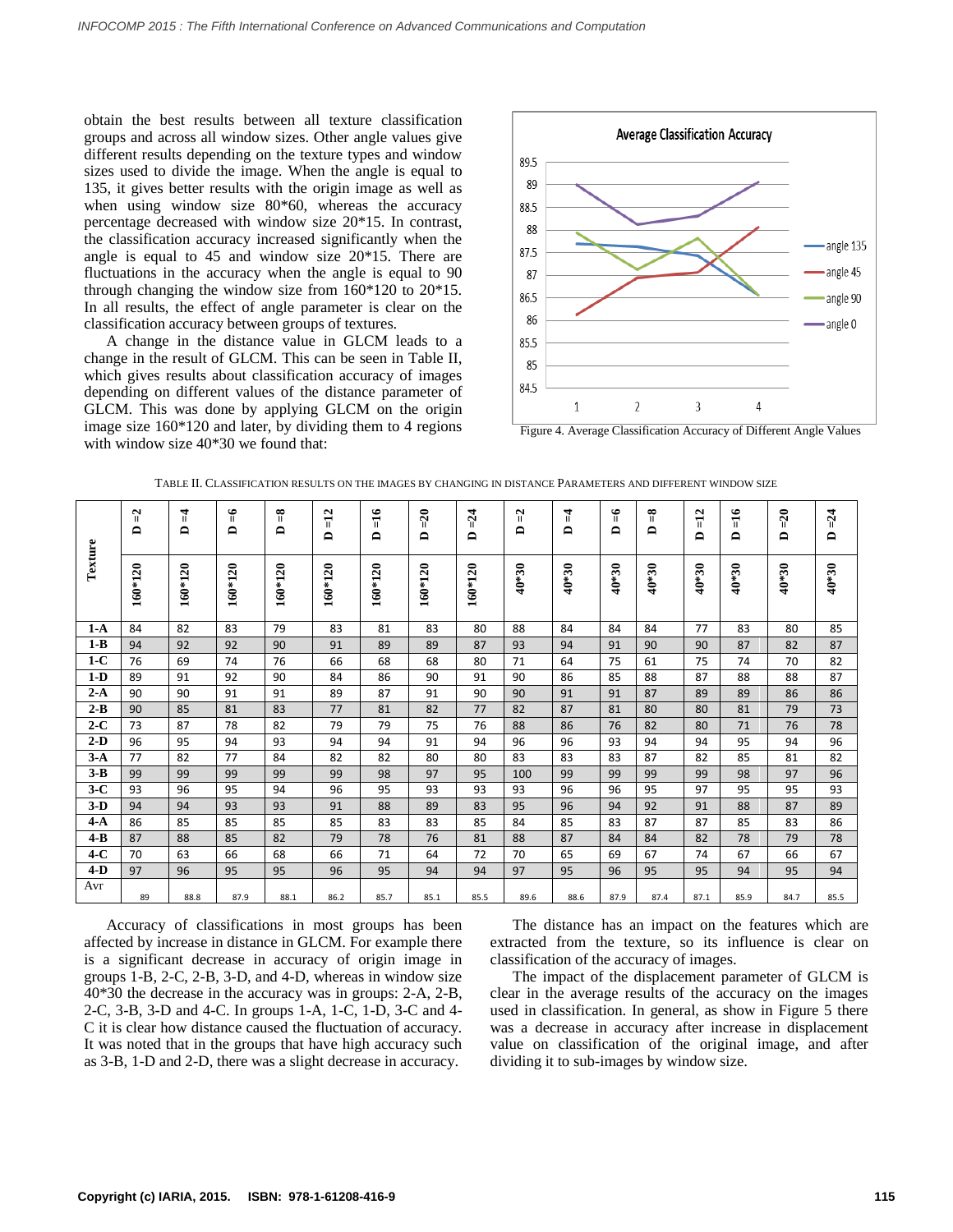obtain the best results between all texture classification groups and across all window sizes. Other angle values give different results depending on the texture types and window sizes used to divide the image. When the angle is equal to 135, it gives better results with the origin image as well as when using window size 80<sup>\*60</sup>, whereas the accuracy percentage decreased with window size 20\*15. In contrast, the classification accuracy increased significantly when the angle is equal to 45 and window size 20\*15. There are fluctuations in the accuracy when the angle is equal to 90 through changing the window size from 160\*120 to 20\*15. In all results, the effect of angle parameter is clear on the classification accuracy between groups of textures.

A change in the distance value in GLCM leads to a change in the result of GLCM. This can be seen in Table II, which gives results about classification accuracy of images depending on different values of the distance parameter of GLCM. This was done by applying GLCM on the origin image size 160\*120 and later, by dividing them to 4 regions with window size  $40*30$  we found that:



Figure 4. Average Classification Accuracy of Different Angle Values

| Texture | $\mathbb{Z}$<br>≏ | $\mu$<br>≏ | ۴<br>≏    | ୩<br>≏    | $=12$<br>$\blacksquare$ | $=16$<br>≏ | $=20$<br>≏ | $=24$<br>$\mathbf{a}$ | $\mathbb{I}$<br>≏ | 4<br>≏  | ۴<br>≏  | $\frac{8}{1}$<br>≏ | $=12$<br>≏ | $\frac{16}{1}$<br>≏ | $=20$<br>≏ | $D = 24$ |
|---------|-------------------|------------|-----------|-----------|-------------------------|------------|------------|-----------------------|-------------------|---------|---------|--------------------|------------|---------------------|------------|----------|
|         | $160*120$         | 160*120    | $160*120$ | $160*120$ | $160*120$               | 160*120    | $160*120$  | $160*120$             | $40*30$           | $40*30$ | $40*30$ | $40*30$            | $40*30$    | $40*30$             | $40*30$    | $40*30$  |
| $1-A$   | 84                | 82         | 83        | 79        | 83                      | 81         | 83         | 80                    | 88                | 84      | 84      | 84                 | 77         | 83                  | 80         | 85       |
| $1 - B$ | 94                | 92         | 92        | 90        | 91                      | 89         | 89         | 87                    | 93                | 94      | 91      | 90                 | 90         | 87                  | 82         | 87       |
| $1-C$   | 76                | 69         | 74        | 76        | 66                      | 68         | 68         | 80                    | 71                | 64      | 75      | 61                 | 75         | 74                  | 70         | 82       |
| $1-D$   | 89                | 91         | 92        | 90        | 84                      | 86         | 90         | 91                    | 90                | 86      | 85      | 88                 | 87         | 88                  | 88         | 87       |
| $2-A$   | 90                | 90         | 91        | 91        | 89                      | 87         | 91         | 90                    | 90                | 91      | 91      | 87                 | 89         | 89                  | 86         | 86       |
| $2 - B$ | 90                | 85         | 81        | 83        | 77                      | 81         | 82         | 77                    | 82                | 87      | 81      | 80                 | 80         | 81                  | 79         | 73       |
| $2-C$   | 73                | 87         | 78        | 82        | 79                      | 79         | 75         | 76                    | 88                | 86      | 76      | 82                 | 80         | 71                  | 76         | 78       |
| $2-D$   | 96                | 95         | 94        | 93        | 94                      | 94         | 91         | 94                    | 96                | 96      | 93      | 94                 | 94         | 95                  | 94         | 96       |
| $3-A$   | 77                | 82         | 77        | 84        | 82                      | 82         | 80         | 80                    | 83                | 83      | 83      | 87                 | 82         | 85                  | 81         | 82       |
| $3-B$   | 99                | 99         | 99        | 99        | 99                      | 98         | 97         | 95                    | 100               | 99      | 99      | 99                 | 99         | 98                  | 97         | 96       |
| $3-C$   | 93                | 96         | 95        | 94        | 96                      | 95         | 93         | 93                    | 93                | 96      | 96      | 95                 | 97         | 95                  | 95         | 93       |
| $3-D$   | 94                | 94         | 93        | 93        | 91                      | 88         | 89         | 83                    | 95                | 96      | 94      | 92                 | 91         | 88                  | 87         | 89       |
| $4-A$   | 86                | 85         | 85        | 85        | 85                      | 83         | 83         | 85                    | 84                | 85      | 83      | 87                 | 87         | 85                  | 83         | 86       |
| $4 - B$ | 87                | 88         | 85        | 82        | 79                      | 78         | 76         | 81                    | 88                | 87      | 84      | 84                 | 82         | 78                  | 79         | 78       |
| $4-C$   | 70                | 63         | 66        | 68        | 66                      | 71         | 64         | 72                    | 70                | 65      | 69      | 67                 | 74         | 67                  | 66         | 67       |
| $4-D$   | 97                | 96         | 95        | 95        | 96                      | 95         | 94         | 94                    | 97                | 95      | 96      | 95                 | 95         | 94                  | 95         | 94       |
| Avr     | 89                | 88.8       | 87.9      | 88.1      | 86.2                    | 85.7       | 85.1       | 85.5                  | 89.6              | 88.6    | 87.9    | 87.4               | 87.1       | 85.9                | 84.7       | 85.5     |

TABLE II. CLASSIFICATION RESULTS ON THE IMAGES BY CHANGING IN DISTANCE PARAMETERS AND DIFFERENT WINDOW SIZE

Accuracy of classifications in most groups has been affected by increase in distance in GLCM. For example there is a significant decrease in accuracy of origin image in groups 1-B, 2-C, 2-B, 3-D, and 4-D, whereas in window size 40\*30 the decrease in the accuracy was in groups: 2-A, 2-B, 2-C, 3-B, 3-D and 4-C. In groups 1-A, 1-C, 1-D, 3-C and 4- C it is clear how distance caused the fluctuation of accuracy. It was noted that in the groups that have high accuracy such as 3-B, 1-D and 2-D, there was a slight decrease in accuracy.

The distance has an impact on the features which are extracted from the texture, so its influence is clear on classification of the accuracy of images.

The impact of the displacement parameter of GLCM is clear in the average results of the accuracy on the images used in classification. In general, as show in Figure 5 there was a decrease in accuracy after increase in displacement value on classification of the original image, and after dividing it to sub-images by window size.